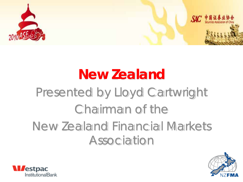

# **New Zealand** Presented by Lloyd Cartwright Chairman of the New Zealand Financial Markets Association



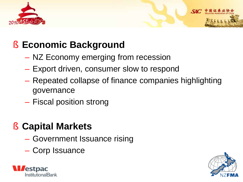

### § **Economic Background**

- NZ Economy emerging from recession
- Export driven, consumer slow to respond
- Repeated collapse of finance companies highlighting governance
- Fiscal position strong

### § **Capital Markets**

- Government Issuance rising
- Corp Issuance





 $SAC$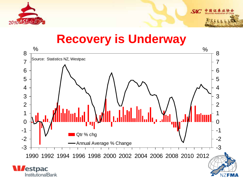



 $S4C$ 

国证券士

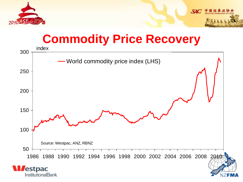



## **Commodity Price Recovery**

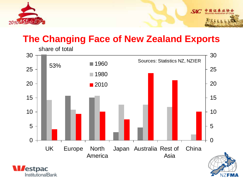

#### **The Changing Face of New Zealand Exports**

 $S4C$ 

国证券士

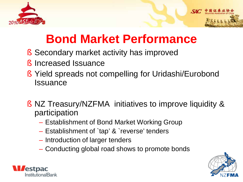

## **Bond Market Performance**

- **§** Secondary market activity has improved
- **§** Increased Issuance
- § Yield spreads not compelling for Uridashi/Eurobond **Issuance**
- § NZ Treasury/NZFMA initiatives to improve liquidity & participation
	- Establishment of Bond Market Working Group
	- Establishment of `tap' & `reverse' tenders
	- Introduction of larger tenders
	- Conducting global road shows to promote bonds



 $SAC$ 

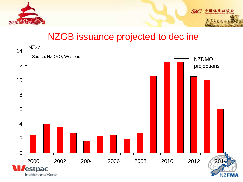

#### NZGB issuance projected to decline

 $S4C$ 

国证券业

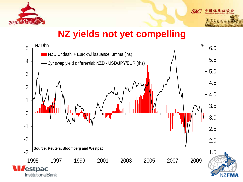



#### **NZ yields not yet compelling**

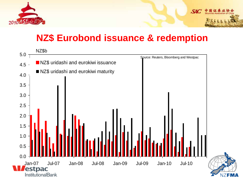



 $S4C$ 

国证券业

NZI

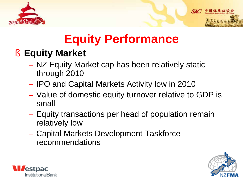

## **Equity Performance**

### § **Equity Market**

- NZ Equity Market cap has been relatively static through 2010
- IPO and Capital Markets Activity low in 2010
- Value of domestic equity turnover relative to GDP is small
- Equity transactions per head of population remain relatively low
- Capital Markets Development Taskforce recommendations



 $SAC$ 

中国证券

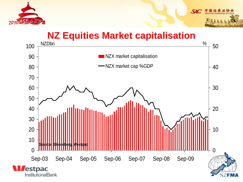

#### **NZ Equities Market capitalisation**

 $S4C$ 

中国证券业

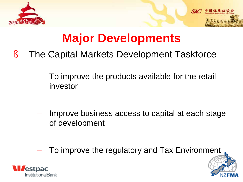

## **Major Developments**

- § The Capital Markets Development Taskforce
	- To improve the products available for the retail investor

- Improve business access to capital at each stage of development
- To improve the regulatory and Tax Environment



 $S4C$